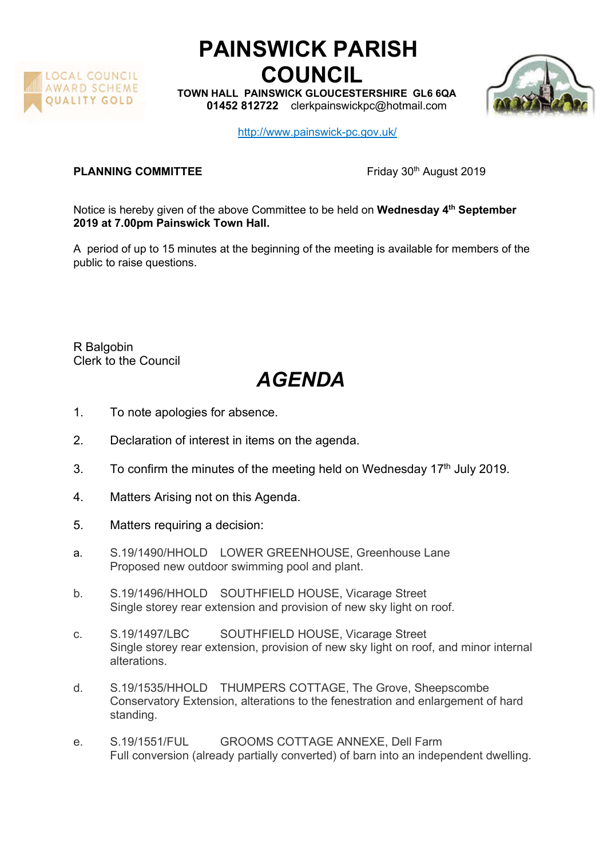

## PAINSWICK PARISH COUNCIL

TOWN HALL PAINSWICK GLOUCESTERSHIRE GL6 6QA 01452 812722 clerkpainswickpc@hotmail.com



http://www.painswick-pc.gov.uk/

## PLANNING COMMITTEE Friday 30<sup>th</sup> August 2019

Notice is hereby given of the above Committee to be held on Wednesday 4<sup>th</sup> September 2019 at 7.00pm Painswick Town Hall.

A period of up to 15 minutes at the beginning of the meeting is available for members of the public to raise questions.

R Balgobin Clerk to the Council

## AGENDA

- 1. To note apologies for absence.
- 2. Declaration of interest in items on the agenda.
- 3. To confirm the minutes of the meeting held on Wednesday  $17<sup>th</sup>$  July 2019.
- 4. Matters Arising not on this Agenda.
- 5. Matters requiring a decision:
- a. S.19/1490/HHOLD LOWER GREENHOUSE, Greenhouse Lane Proposed new outdoor swimming pool and plant.
- b. S.19/1496/HHOLD SOUTHFIELD HOUSE, Vicarage Street Single storey rear extension and provision of new sky light on roof.
- c. S.19/1497/LBC SOUTHFIELD HOUSE, Vicarage Street Single storey rear extension, provision of new sky light on roof, and minor internal alterations.
- d. S.19/1535/HHOLD THUMPERS COTTAGE, The Grove, Sheepscombe Conservatory Extension, alterations to the fenestration and enlargement of hard standing.
- e. S.19/1551/FUL GROOMS COTTAGE ANNEXE, Dell Farm Full conversion (already partially converted) of barn into an independent dwelling.